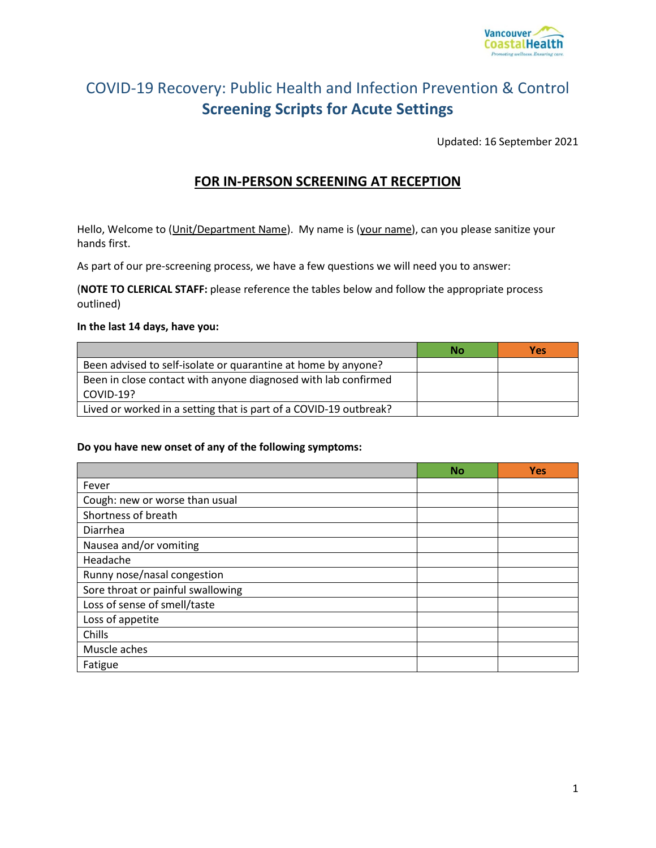

## COVID-19 Recovery: Public Health and Infection Prevention & Control **Screening Scripts for Acute Settings**

Updated: 16 September 2021

## **FOR IN-PERSON SCREENING AT RECEPTION**

Hello, Welcome to (Unit/Department Name). My name is (your name), can you please sanitize your hands first.

As part of our pre-screening process, we have a few questions we will need you to answer:

(**NOTE TO CLERICAL STAFF:** please reference the tables below and follow the appropriate process outlined)

**In the last 14 days, have you:**

|                                                                   | No | <b>Yes</b> |
|-------------------------------------------------------------------|----|------------|
| Been advised to self-isolate or quarantine at home by anyone?     |    |            |
| Been in close contact with anyone diagnosed with lab confirmed    |    |            |
| COVID-19?                                                         |    |            |
| Lived or worked in a setting that is part of a COVID-19 outbreak? |    |            |

## **Do you have new onset of any of the following symptoms:**

|                                   | <b>No</b> | <b>Yes</b> |
|-----------------------------------|-----------|------------|
| Fever                             |           |            |
| Cough: new or worse than usual    |           |            |
| Shortness of breath               |           |            |
| Diarrhea                          |           |            |
| Nausea and/or vomiting            |           |            |
| Headache                          |           |            |
| Runny nose/nasal congestion       |           |            |
| Sore throat or painful swallowing |           |            |
| Loss of sense of smell/taste      |           |            |
| Loss of appetite                  |           |            |
| Chills                            |           |            |
| Muscle aches                      |           |            |
| Fatigue                           |           |            |